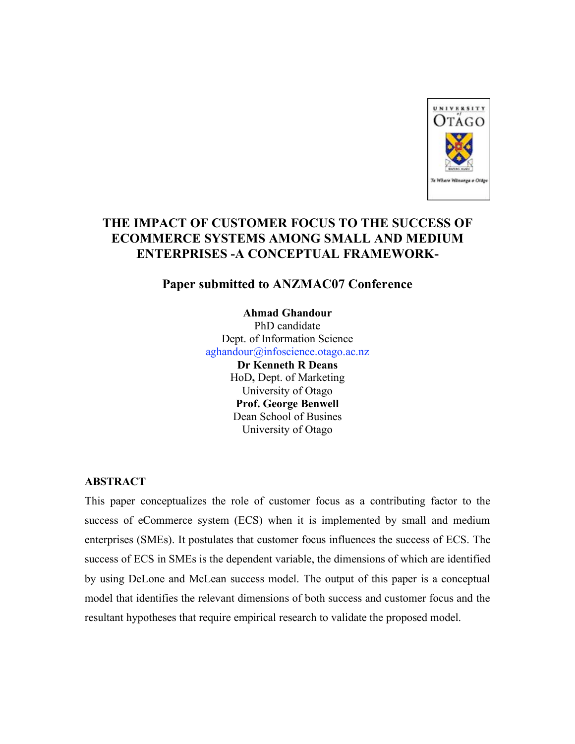

# **THE IMPACT OF CUSTOMER FOCUS TO THE SUCCESS OF ECOMMERCE SYSTEMS AMONG SMALL AND MEDIUM ENTERPRISES -A CONCEPTUAL FRAMEWORK-**

# **Paper submitted to ANZMAC07 Conference**

**Ahmad Ghandour** PhD candidate Dept. of Information Science aghandour@infoscience.otago.ac.nz **Dr Kenneth R Deans** HoD**,** Dept. of Marketing University of Otago **Prof. George Benwell** Dean School of Busines University of Otago

## **ABSTRACT**

This paper conceptualizes the role of customer focus as a contributing factor to the success of eCommerce system (ECS) when it is implemented by small and medium enterprises (SMEs). It postulates that customer focus influences the success of ECS. The success of ECS in SMEs is the dependent variable, the dimensions of which are identified by using DeLone and McLean success model. The output of this paper is a conceptual model that identifies the relevant dimensions of both success and customer focus and the resultant hypotheses that require empirical research to validate the proposed model.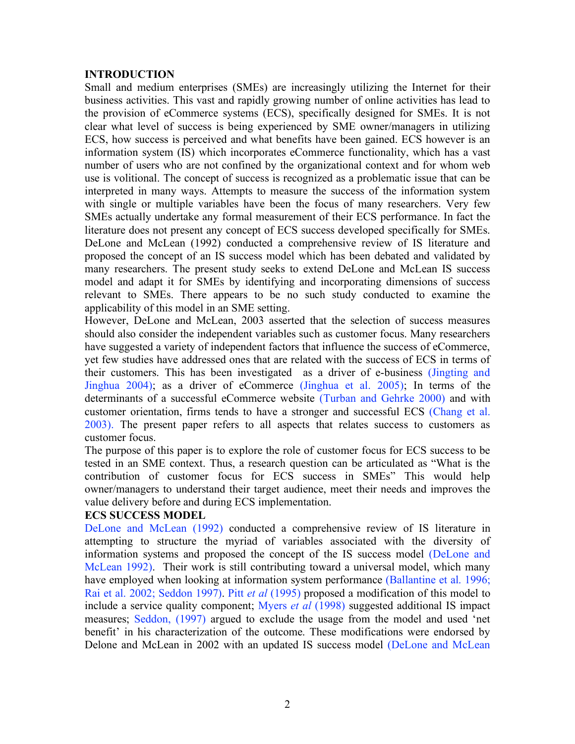## **INTRODUCTION**

Small and medium enterprises (SMEs) are increasingly utilizing the Internet for their business activities. This vast and rapidly growing number of online activities has lead to the provision of eCommerce systems (ECS), specifically designed for SMEs. It is not clear what level of success is being experienced by SME owner/managers in utilizing ECS, how success is perceived and what benefits have been gained. ECS however is an information system (IS) which incorporates eCommerce functionality, which has a vast number of users who are not confined by the organizational context and for whom web use is volitional. The concept of success is recognized as a problematic issue that can be interpreted in many ways. Attempts to measure the success of the information system with single or multiple variables have been the focus of many researchers. Very few SMEs actually undertake any formal measurement of their ECS performance. In fact the literature does not present any concept of ECS success developed specifically for SMEs. DeLone and McLean (1992) conducted a comprehensive review of IS literature and proposed the concept of an IS success model which has been debated and validated by many researchers. The present study seeks to extend DeLone and McLean IS success model and adapt it for SMEs by identifying and incorporating dimensions of success relevant to SMEs. There appears to be no such study conducted to examine the applicability of this model in an SME setting.

However, DeLone and McLean, 2003 asserted that the selection of success measures should also consider the independent variables such as customer focus. Many researchers have suggested a variety of independent factors that influence the success of eCommerce, yet few studies have addressed ones that are related with the success of ECS in terms of their customers. This has been investigated as a driver of e-business (Jingting and Jinghua 2004); as a driver of eCommerce (Jinghua et al. 2005); In terms of the determinants of a successful eCommerce website (Turban and Gehrke 2000) and with customer orientation, firms tends to have a stronger and successful ECS (Chang et al. 2003). The present paper refers to all aspects that relates success to customers as customer focus.

The purpose of this paper is to explore the role of customer focus for ECS success to be tested in an SME context. Thus, a research question can be articulated as "What is the contribution of customer focus for ECS success in SMEs" This would help owner/managers to understand their target audience, meet their needs and improves the value delivery before and during ECS implementation.

#### **ECS SUCCESS MODEL**

DeLone and McLean (1992) conducted a comprehensive review of IS literature in attempting to structure the myriad of variables associated with the diversity of information systems and proposed the concept of the IS success model (DeLone and McLean 1992). Their work is still contributing toward a universal model, which many have employed when looking at information system performance (Ballantine et al. 1996; Rai et al. 2002; Seddon 1997). Pitt *et al* (1995) proposed a modification of this model to include a service quality component; Myers *et al* (1998) suggested additional IS impact measures; Seddon, (1997) argued to exclude the usage from the model and used 'net benefit' in his characterization of the outcome. These modifications were endorsed by Delone and McLean in 2002 with an updated IS success model (DeLone and McLean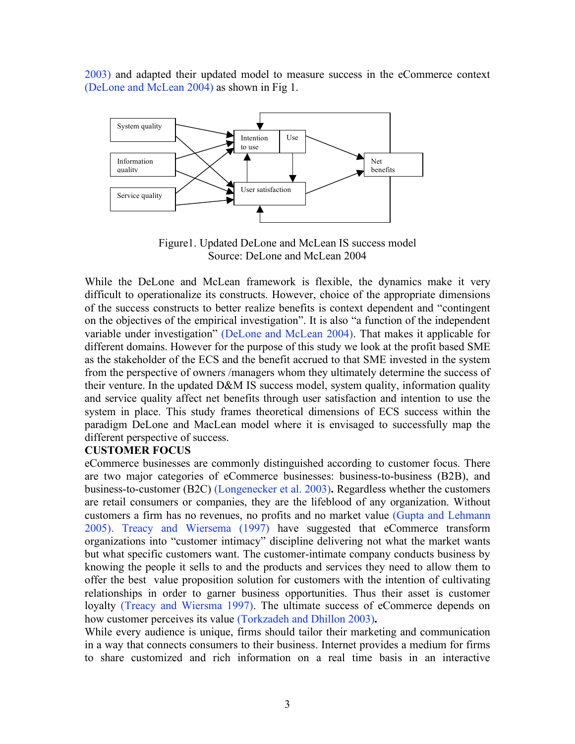2003) and adapted their updated model to measure success in the eCommerce context (DeLone and McLean 2004) as shown in Fig 1.



Figure1. Updated DeLone and McLean IS success model Source: DeLone and McLean 2004

While the DeLone and McLean framework is flexible, the dynamics make it very difficult to operationalize its constructs. However, choice of the appropriate dimensions of the success constructs to better realize benefits is context dependent and "contingent on the objectives of the empirical investigation". It is also "a function of the independent variable under investigation" (DeLone and McLean 2004). That makes it applicable for different domains. However for the purpose of this study we look at the profit based SME as the stakeholder of the ECS and the benefit accrued to that SME invested in the system from the perspective of owners /managers whom they ultimately determine the success of their venture. In the updated D&M IS success model, system quality, information quality and service quality affect net benefits through user satisfaction and intention to use the system in place. This study frames theoretical dimensions of ECS success within the paradigm DeLone and MacLean model where it is envisaged to successfully map the different perspective of success.

## **CUSTOMER FOCUS**

eCommerce businesses are commonly distinguished according to customer focus. There are two major categories of eCommerce businesses: business-to-business (B2B), and business-to-customer (B2C) (Longenecker et al. 2003)**.** Regardless whether the customers are retail consumers or companies, they are the lifeblood of any organization. Without customers a firm has no revenues, no profits and no market value (Gupta and Lehmann 2005). Treacy and Wiersema (1997) have suggested that eCommerce transform organizations into "customer intimacy" discipline delivering not what the market wants but what specific customers want. The customer-intimate company conducts business by knowing the people it sells to and the products and services they need to allow them to offer the best value proposition solution for customers with the intention of cultivating relationships in order to garner business opportunities. Thus their asset is customer loyalty (Treacy and Wiersma 1997). The ultimate success of eCommerce depends on how customer perceives its value (Torkzadeh and Dhillon 2003)**.**

While every audience is unique, firms should tailor their marketing and communication in a way that connects consumers to their business. Internet provides a medium for firms to share customized and rich information on a real time basis in an interactive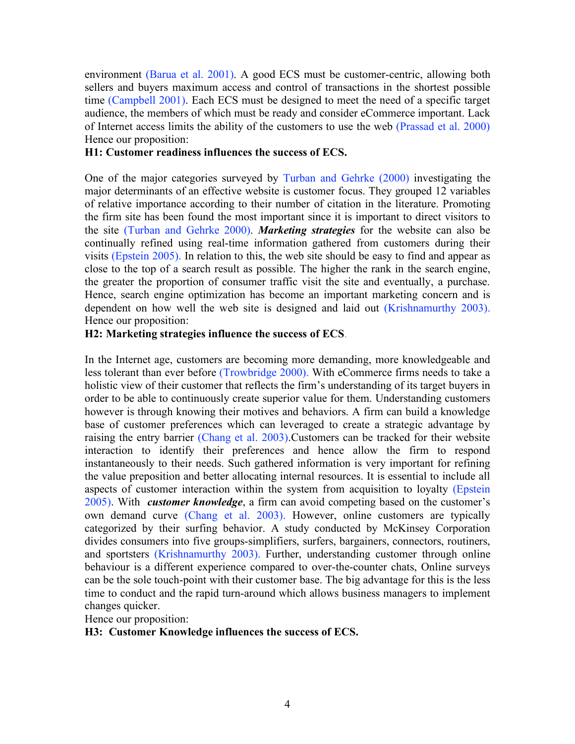environment (Barua et al. 2001). A good ECS must be customer-centric, allowing both sellers and buyers maximum access and control of transactions in the shortest possible time (Campbell 2001). Each ECS must be designed to meet the need of a specific target audience, the members of which must be ready and consider eCommerce important. Lack of Internet access limits the ability of the customers to use the web (Prassad et al. 2000) Hence our proposition:

## **H1: Customer readiness influences the success of ECS.**

One of the major categories surveyed by Turban and Gehrke (2000) investigating the major determinants of an effective website is customer focus. They grouped 12 variables of relative importance according to their number of citation in the literature. Promoting the firm site has been found the most important since it is important to direct visitors to the site (Turban and Gehrke 2000). *Marketing strategies* for the website can also be continually refined using real-time information gathered from customers during their visits (Epstein 2005). In relation to this, the web site should be easy to find and appear as close to the top of a search result as possible. The higher the rank in the search engine, the greater the proportion of consumer traffic visit the site and eventually, a purchase. Hence, search engine optimization has become an important marketing concern and is dependent on how well the web site is designed and laid out (Krishnamurthy 2003). Hence our proposition:

## **H2: Marketing strategies influence the success of ECS**.

In the Internet age, customers are becoming more demanding, more knowledgeable and less tolerant than ever before (Trowbridge 2000). With eCommerce firms needs to take a holistic view of their customer that reflects the firm's understanding of its target buyers in order to be able to continuously create superior value for them. Understanding customers however is through knowing their motives and behaviors. A firm can build a knowledge base of customer preferences which can leveraged to create a strategic advantage by raising the entry barrier (Chang et al. 2003).Customers can be tracked for their website interaction to identify their preferences and hence allow the firm to respond instantaneously to their needs. Such gathered information is very important for refining the value preposition and better allocating internal resources. It is essential to include all aspects of customer interaction within the system from acquisition to loyalty (Epstein 2005). With *customer knowledge*, a firm can avoid competing based on the customer's own demand curve (Chang et al. 2003). However, online customers are typically categorized by their surfing behavior. A study conducted by McKinsey Corporation divides consumers into five groups-simplifiers, surfers, bargainers, connectors, routiners, and sportsters (Krishnamurthy 2003). Further, understanding customer through online behaviour is a different experience compared to over-the-counter chats, Online surveys can be the sole touch-point with their customer base. The big advantage for this is the less time to conduct and the rapid turn-around which allows business managers to implement changes quicker.

Hence our proposition:

#### **H3: Customer Knowledge influences the success of ECS.**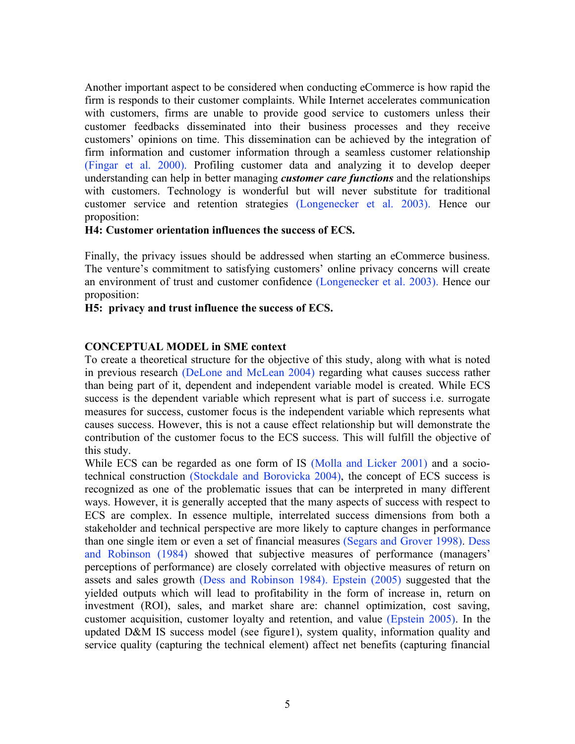Another important aspect to be considered when conducting eCommerce is how rapid the firm is responds to their customer complaints. While Internet accelerates communication with customers, firms are unable to provide good service to customers unless their customer feedbacks disseminated into their business processes and they receive customers' opinions on time. This dissemination can be achieved by the integration of firm information and customer information through a seamless customer relationship (Fingar et al. 2000). Profiling customer data and analyzing it to develop deeper understanding can help in better managing *customer care functions* and the relationships with customers. Technology is wonderful but will never substitute for traditional customer service and retention strategies (Longenecker et al. 2003). Hence our proposition:

## **H4: Customer orientation influences the success of ECS.**

Finally, the privacy issues should be addressed when starting an eCommerce business. The venture's commitment to satisfying customers' online privacy concerns will create an environment of trust and customer confidence (Longenecker et al. 2003). Hence our proposition:

## **H5: privacy and trust influence the success of ECS.**

## **CONCEPTUAL MODEL in SME context**

To create a theoretical structure for the objective of this study, along with what is noted in previous research (DeLone and McLean 2004) regarding what causes success rather than being part of it, dependent and independent variable model is created. While ECS success is the dependent variable which represent what is part of success i.e. surrogate measures for success, customer focus is the independent variable which represents what causes success. However, this is not a cause effect relationship but will demonstrate the contribution of the customer focus to the ECS success. This will fulfill the objective of this study.

While ECS can be regarded as one form of IS (Molla and Licker 2001) and a sociotechnical construction (Stockdale and Borovicka 2004), the concept of ECS success is recognized as one of the problematic issues that can be interpreted in many different ways. However, it is generally accepted that the many aspects of success with respect to ECS are complex. In essence multiple, interrelated success dimensions from both a stakeholder and technical perspective are more likely to capture changes in performance than one single item or even a set of financial measures (Segars and Grover 1998). Dess and Robinson (1984) showed that subjective measures of performance (managers' perceptions of performance) are closely correlated with objective measures of return on assets and sales growth (Dess and Robinson 1984). Epstein (2005) suggested that the yielded outputs which will lead to profitability in the form of increase in, return on investment (ROI), sales, and market share are: channel optimization, cost saving, customer acquisition, customer loyalty and retention, and value (Epstein 2005). In the updated D&M IS success model (see figure1), system quality, information quality and service quality (capturing the technical element) affect net benefits (capturing financial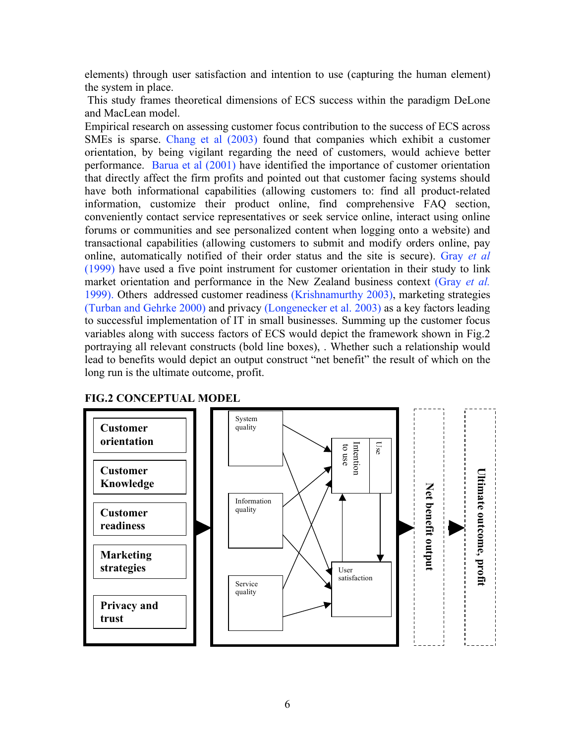elements) through user satisfaction and intention to use (capturing the human element) the system in place.

This study frames theoretical dimensions of ECS success within the paradigm DeLone and MacLean model.

Empirical research on assessing customer focus contribution to the success of ECS across SMEs is sparse. Chang et al (2003) found that companies which exhibit a customer orientation, by being vigilant regarding the need of customers, would achieve better performance. Barua et al (2001) have identified the importance of customer orientation that directly affect the firm profits and pointed out that customer facing systems should have both informational capabilities (allowing customers to: find all product-related information, customize their product online, find comprehensive FAQ section, conveniently contact service representatives or seek service online, interact using online forums or communities and see personalized content when logging onto a website) and transactional capabilities (allowing customers to submit and modify orders online, pay online, automatically notified of their order status and the site is secure). Gray *et al* (1999) have used a five point instrument for customer orientation in their study to link market orientation and performance in the New Zealand business context (Gray *et al.* 1999). Others addressed customer readiness (Krishnamurthy 2003), marketing strategies (Turban and Gehrke 2000) and privacy (Longenecker et al. 2003) as a key factors leading to successful implementation of IT in small businesses. Summing up the customer focus variables along with success factors of ECS would depict the framework shown in Fig.2 portraying all relevant constructs (bold line boxes), . Whether such a relationship would lead to benefits would depict an output construct "net benefit" the result of which on the long run is the ultimate outcome, profit.



# **FIG.2 CONCEPTUAL MODEL**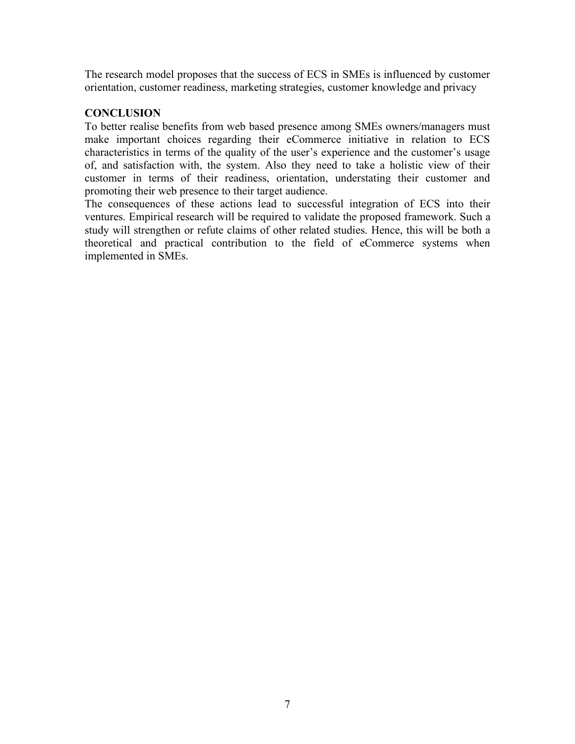The research model proposes that the success of ECS in SMEs is influenced by customer orientation, customer readiness, marketing strategies, customer knowledge and privacy

## **CONCLUSION**

To better realise benefits from web based presence among SMEs owners/managers must make important choices regarding their eCommerce initiative in relation to ECS characteristics in terms of the quality of the user's experience and the customer's usage of, and satisfaction with, the system. Also they need to take a holistic view of their customer in terms of their readiness, orientation, understating their customer and promoting their web presence to their target audience.

The consequences of these actions lead to successful integration of ECS into their ventures. Empirical research will be required to validate the proposed framework. Such a study will strengthen or refute claims of other related studies. Hence, this will be both a theoretical and practical contribution to the field of eCommerce systems when implemented in SMEs.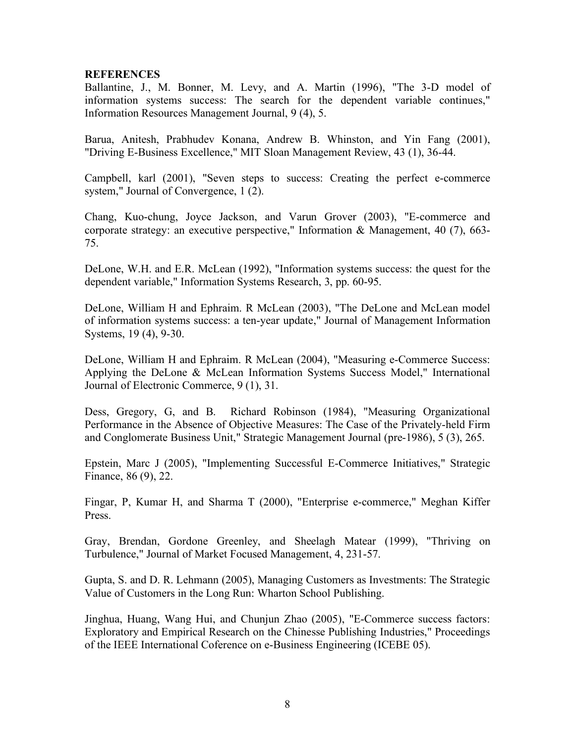## **REFERENCES**

Ballantine, J., M. Bonner, M. Levy, and A. Martin (1996), "The 3-D model of information systems success: The search for the dependent variable continues," Information Resources Management Journal, 9 (4), 5.

Barua, Anitesh, Prabhudev Konana, Andrew B. Whinston, and Yin Fang (2001), "Driving E-Business Excellence," MIT Sloan Management Review, 43 (1), 36-44.

Campbell, karl (2001), "Seven steps to success: Creating the perfect e-commerce system," Journal of Convergence, 1 (2).

Chang, Kuo-chung, Joyce Jackson, and Varun Grover (2003), "E-commerce and corporate strategy: an executive perspective," Information & Management, 40 (7), 663- 75.

DeLone, W.H. and E.R. McLean (1992), "Information systems success: the quest for the dependent variable," Information Systems Research, 3, pp. 60-95.

DeLone, William H and Ephraim. R McLean (2003), "The DeLone and McLean model of information systems success: a ten-year update," Journal of Management Information Systems, 19 (4), 9-30.

DeLone, William H and Ephraim. R McLean (2004), "Measuring e-Commerce Success: Applying the DeLone & McLean Information Systems Success Model," International Journal of Electronic Commerce, 9 (1), 31.

Dess, Gregory, G, and B. Richard Robinson (1984), "Measuring Organizational Performance in the Absence of Objective Measures: The Case of the Privately-held Firm and Conglomerate Business Unit," Strategic Management Journal (pre-1986), 5 (3), 265.

Epstein, Marc J (2005), "Implementing Successful E-Commerce Initiatives," Strategic Finance, 86 (9), 22.

Fingar, P, Kumar H, and Sharma T (2000), "Enterprise e-commerce," Meghan Kiffer Press.

Gray, Brendan, Gordone Greenley, and Sheelagh Matear (1999), "Thriving on Turbulence," Journal of Market Focused Management, 4, 231-57.

Gupta, S. and D. R. Lehmann (2005), Managing Customers as Investments: The Strategic Value of Customers in the Long Run: Wharton School Publishing.

Jinghua, Huang, Wang Hui, and Chunjun Zhao (2005), "E-Commerce success factors: Exploratory and Empirical Research on the Chinesse Publishing Industries," Proceedings of the IEEE International Coference on e-Business Engineering (ICEBE 05).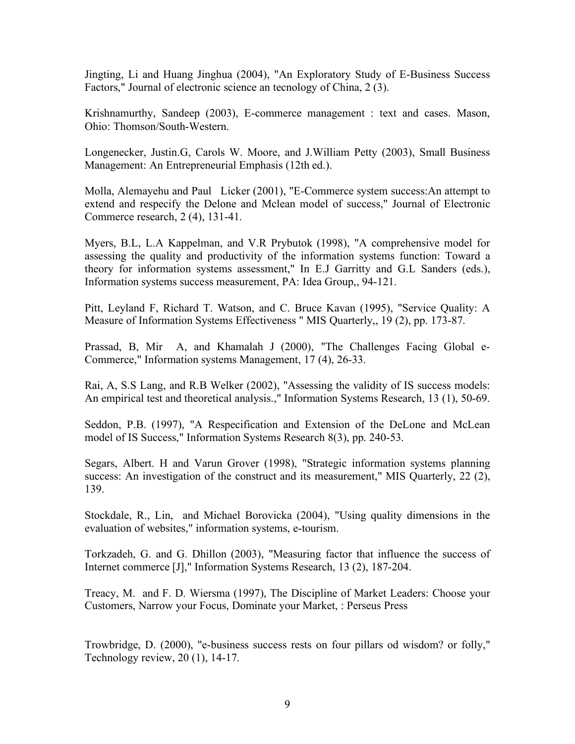Jingting, Li and Huang Jinghua (2004), "An Exploratory Study of E-Business Success Factors," Journal of electronic science an tecnology of China, 2 (3).

Krishnamurthy, Sandeep (2003), E-commerce management : text and cases. Mason, Ohio: Thomson/South-Western.

Longenecker, Justin.G, Carols W. Moore, and J.William Petty (2003), Small Business Management: An Entrepreneurial Emphasis (12th ed.).

Molla, Alemayehu and Paul Licker (2001), "E-Commerce system success:An attempt to extend and respecify the Delone and Mclean model of success," Journal of Electronic Commerce research, 2 (4), 131-41.

Myers, B.L, L.A Kappelman, and V.R Prybutok (1998), "A comprehensive model for assessing the quality and productivity of the information systems function: Toward a theory for information systems assessment," In E.J Garritty and G.L Sanders (eds.), Information systems success measurement, PA: Idea Group,, 94-121.

Pitt, Leyland F, Richard T. Watson, and C. Bruce Kavan (1995), "Service Quality: A Measure of Information Systems Effectiveness " MIS Quarterly,, 19 (2), pp. 173-87.

Prassad, B, Mir A, and Khamalah J (2000), "The Challenges Facing Global e-Commerce," Information systems Management, 17 (4), 26-33.

Rai, A, S.S Lang, and R.B Welker (2002), "Assessing the validity of IS success models: An empirical test and theoretical analysis.," Information Systems Research, 13 (1), 50-69.

Seddon, P.B. (1997), "A Respecification and Extension of the DeLone and McLean model of IS Success," Information Systems Research 8(3), pp. 240-53.

Segars, Albert. H and Varun Grover (1998), "Strategic information systems planning success: An investigation of the construct and its measurement," MIS Quarterly, 22 (2), 139.

Stockdale, R., Lin, and Michael Borovicka (2004), "Using quality dimensions in the evaluation of websites," information systems, e-tourism.

Torkzadeh, G. and G. Dhillon (2003), "Measuring factor that influence the success of Internet commerce [J]," Information Systems Research, 13 (2), 187-204.

Treacy, M. and F. D. Wiersma (1997), The Discipline of Market Leaders: Choose your Customers, Narrow your Focus, Dominate your Market, : Perseus Press

Trowbridge, D. (2000), "e-business success rests on four pillars od wisdom? or folly," Technology review, 20 (1), 14-17.